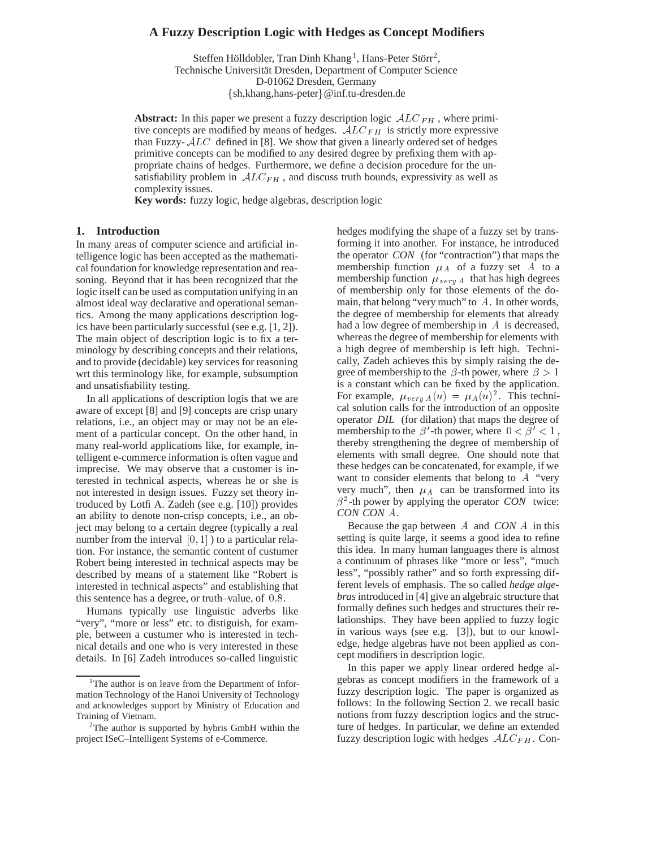# **A Fuzzy Description Logic with Hedges as Concept Modifiers**

Steffen Hölldobler, Tran Dinh Khang<sup>1</sup>, Hans-Peter Störr<sup>2</sup>, Technische Universität Dresden, Department of Computer Science D-01062 Dresden, Germany sh,khang,hans-peter@inf.tu-dresden.de

**Abstract:** In this paper we present a fuzzy description logic  $ALC_{FH}$ , where primitive concepts are modified by means of hedges.  $ALC_{FH}$  is strictly more expressive than Fuzzy-  $ALC$  defined in [8]. We show that given a linearly ordered set of hedges primitive concepts can be modified to any desired degree by prefixing them with appropriate chains of hedges. Furthermore, we define a decision procedure for the unsatisfiability problem in  $ALC_{FH}$ , and discuss truth bounds, expressivity as well as complexity issues.

**Key words:** fuzzy logic, hedge algebras, description logic

#### **1. Introduction**

In many areas of computer science and artificial intelligence logic has been accepted as the mathematical foundation for knowledge representation and reasoning. Beyond that it has been recognized that the logic itself can be used as computation unifying in an almost ideal way declarative and operational semantics. Among the many applications description logics have been particularly successful (see e.g. [1, 2]). The main object of description logic is to fix a terminology by describing concepts and their relations, and to provide (decidable) key services for reasoning wrt this terminology like, for example, subsumption and unsatisfiability testing.

In all applications of description logis that we are aware of except [8] and [9] concepts are crisp unary relations, i.e., an object may or may not be an element of a particular concept. On the other hand, in many real-world applications like, for example, intelligent e-commerce information is often vague and imprecise. We may observe that a customer is interested in technical aspects, whereas he or she is not interested in design issues. Fuzzy set theory introduced by Lotfi A. Zadeh (see e.g. [10]) provides an ability to denote non-crisp concepts, i.e., an object may belong to a certain degree (typically a real number from the interval  $[0, 1]$ ) to a particular relation. For instance, the semantic content of custumer Robert being interested in technical aspects may be described by means of a statement like "Robert is interested in technical aspects" and establishing that this sentence has a degree, or truth–value, of  $0.8$ .

Humans typically use linguistic adverbs like "very", "more or less" etc. to distiguish, for example, between a custumer who is interested in technical details and one who is very interested in these details. In [6] Zadeh introduces so-called linguistic hedges modifying the shape of a fuzzy set by transforming it into another. For instance, he introduced the operator *CON* (for "contraction") that maps the membership function  $\mu_A$  of a fuzzy set A to a membership function  $\mu_{very A}$  that has high degrees of membership only for those elements of the domain, that belong "very much" to  $A$ . In other words, the degree of membership for elements that already had a low degree of membership in  $A$  is decreased, whereas the degree of membership for elements with a high degree of membership is left high. Technically, Zadeh achieves this by simply raising the degree of membership to the  $\beta$ -th power, where  $\beta > 1$ is a constant which can be fixed by the application. For example,  $\mu_{very\ A}(u) = \mu_A(u)^2$ . This technical solution calls for the introduction of an opposite operator *DIL* (for dilation) that maps the degree of membership to the  $\beta'$ -th power, where  $0 < \beta' < 1$ , , thereby strengthening the degree of membership of elements with small degree. One should note that these hedges can be concatenated, for example, if we want to consider elements that belong to  $A$  "very very much", then  $\mu_A$  can be transformed into its  $\beta^2$ -th power by applying the operator *CON* twice: CON CON A.

Because the gap between A and *CON* A in this setting is quite large, it seems a good idea to refine this idea. In many human languages there is almost a continuum of phrases like "more or less", "much less", "possibly rather" and so forth expressing different levels of emphasis. The so called *hedge algebras*introduced in [4] give an algebraic structure that formally defines such hedges and structures their relationships. They have been applied to fuzzy logic in various ways (see e.g. [3]), but to our knowledge, hedge algebras have not been applied as concept modifiers in description logic.

In this paper we apply linear ordered hedge algebras as concept modifiers in the framework of a fuzzy description logic. The paper is organized as follows: In the following Section 2. we recall basic notions from fuzzy description logics and the structure of hedges. In particular, we define an extended fuzzy description logic with hedges  $ALC_{FH}$ . Con-

<sup>&</sup>lt;sup>1</sup>The author is on leave from the Department of Information Technology of the Hanoi University of Technology and acknowledges support by Ministry of Education and Training of Vietnam.

 $2$ The author is supported by hybris GmbH within the project ISeC–Intelligent Systems of e-Commerce.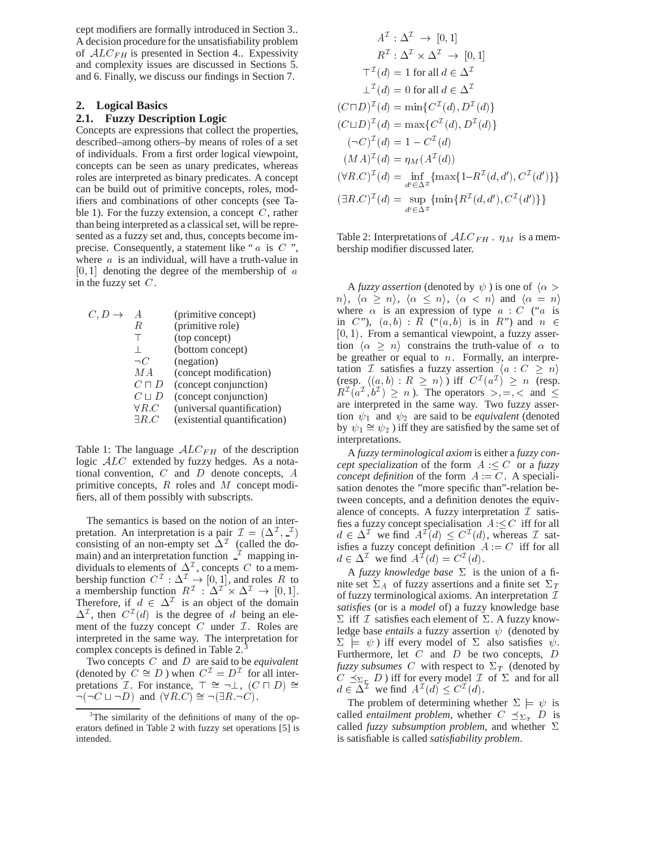cept modifiers are formally introduced in Section 3.. A decision procedure for the unsatisfiability problem of  $ALC_{FH}$  is presented in Section 4.. Expessivity and complexity issues are discussed in Sections 5. and 6. Finally, we discuss our findings in Section 7.

# **2. Logical Basics**

# **2.1. Fuzzy Description Logic**

Concepts are expressions that collect the properties, described–among others–by means of roles of a set of individuals. From a first order logical viewpoint, concepts can be seen as unary predicates, whereas roles are interpreted as binary predicates. A concept can be build out of primitive concepts, roles, modifiers and combinations of other concepts (see Table 1). For the fuzzy extension, a concept  $C$ , rather than being interpreted as a classical set, will be represented as a fuzzy set and, thus, concepts become imprecise. Consequently, a statement like " $a$  is  $C$ ", b where  $a$  is an individual, will have a truth-value in  $[0, 1]$  denoting the degree of the membership of a in the fuzzy set  $C$ .

| $C, D \rightarrow$ | А             | (primitive concept)          |
|--------------------|---------------|------------------------------|
|                    | R             | (primitive role)             |
|                    |               | (top concept)                |
|                    |               | (bottom concept)             |
|                    | $\neg C$      | (negation)                   |
|                    | M A           | (concept modification)       |
|                    | $C\sqcap D$   | (concept conjunction)        |
|                    | $C \sqcup D$  | (concept conjunction)        |
|                    | $\forall R.C$ | (universal quantification)   |
|                    | $\exists R.C$ | (existential quantification) |
|                    |               |                              |

Table 1: The language  $ALC_{FH}$  of the description logic  $ALC$  extended by fuzzy hedges. As a notational convention,  $C$  and  $D$  denote concepts,  $A$ primitive concepts,  $R$  roles and  $M$  concept modifiers, all of them possibly with subscripts.

The semantics is based on the notion of an interpretation. An interpretation is a pair  $\mathcal{I} = (\Delta^{\mathcal{I}}, \mathcal{I})$ consisting of an non-empty set  $\Delta^{\mathcal{I}}$  (called the domain) and an interpretation function  $\perp$  mapping individuals to elements of  $\Delta^{\mathcal{I}}$ , concepts C to a membership function  $C^{\perp} : \Delta^{\perp} \to [0,1]$ , and roles R to a membership function  $R^{\perp}$ :  $\Delta^{\perp} \times \Delta^{\perp} \rightarrow [0,1].$ Therefore, if  $d \in \Delta^{\mathcal{I}}$  is an object of the domain  $\Delta^{\perp}$ , then  $C^{\perp}(d)$  is the degree of d being an element of the fuzzy concept  $C$  under  $\mathcal I$ . Roles are interpreted in the same way. The interpretation for complex concepts is defined in Table 2.<sup>3</sup>

Two concepts  $C$  and  $D$  are said to be *equivalent* (denoted by  $C \cong D$ ) when  $C^{\perp} = D^{\perp}$  for all interpretations *T*. For instance,  $\top \cong \neg \bot$ ,  $(C \sqcap D) \cong$  $\neg(\neg C \sqcup \neg D)$  and  $(\forall R.C) \cong \neg (\exists R.\neg C)$ .

$$
A^{\mathcal{I}} : \Delta^{\mathcal{I}} \to [0, 1]
$$
  
\n
$$
R^{\mathcal{I}} : \Delta^{\mathcal{I}} \times \Delta^{\mathcal{I}} \to [0, 1]
$$
  
\n
$$
\top^{\mathcal{I}}(d) = 1 \text{ for all } d \in \Delta^{\mathcal{I}}
$$
  
\n
$$
\bot^{\mathcal{I}}(d) = 0 \text{ for all } d \in \Delta^{\mathcal{I}}
$$
  
\n
$$
(C \sqcap D)^{\mathcal{I}}(d) = \min \{ C^{\mathcal{I}}(d), D^{\mathcal{I}}(d) \}
$$
  
\n
$$
(C \sqcup D)^{\mathcal{I}}(d) = \max \{ C^{\mathcal{I}}(d), D^{\mathcal{I}}(d) \}
$$
  
\n
$$
(\neg C)^{\mathcal{I}}(d) = 1 - C^{\mathcal{I}}(d)
$$
  
\n
$$
(MA)^{\mathcal{I}}(d) = \eta_M(A^{\mathcal{I}}(d))
$$
  
\n
$$
(\forall R.C)^{\mathcal{I}}(d) = \inf_{d' \in \Delta^{\mathcal{I}}} \{ \max \{ 1 - R^{\mathcal{I}}(d, d'), C^{\mathcal{I}}(d') \} \}
$$
  
\n
$$
(\exists R.C)^{\mathcal{I}}(d) = \sup_{d' \in \Delta^{\mathcal{I}}} \{ \min \{ R^{\mathcal{I}}(d, d'), C^{\mathcal{I}}(d') \} \}
$$

Table 2: Interpretations of  $ALC_{FH}$ .  $\eta_M$  is a membership modifier discussed later.

A *fuzzy assertion* (denoted by  $\psi$ ) is one of  $\langle \alpha \rangle$  $n\rangle$ ,  $\langle \alpha \geq n \rangle$ ,  $\langle \alpha \leq n \rangle$ ,  $\langle \alpha \leq n \rangle$  and  $\langle \alpha = n \rangle$ where  $\alpha$  is an expression of type  $a : C$  ("a is in C"),  $(a,b)$ : R (" $(a,b)$  is in R") and  $n \in$  $[0, 1)$ . From a semantical viewpoint, a fuzzy assertion  $\langle \alpha \geq n \rangle$  constrains the truth-value of  $\alpha$  to be greather or equal to  $n$ . Formally, an interpretation  $\mathcal I$  satisfies a fuzzy assertion  $\langle a: C \geq n \rangle$ (resp.  $\langle (a, b) : R \geq n \rangle$ ) iff  $C^{\mathcal{I}}(a^{\mathcal{I}}) \geq n$  (resp.  $R^{\perp}(a^{\perp},b^{\perp}) \geq n$ ). The operators  $\gt, \Rightarrow \lt$  and  $\leq$ are interpreted in the same way. Two fuzzy assertion  $\psi_1$  and  $\psi_2$  are said to be *equivalent* (denoted by  $\psi_1 \cong \psi_2$ ) iff they are satisfied by the same set of interpretations.

A *fuzzy terminological axiom* is either a *fuzzy concept specialization* of the form  $A \leq C$  or a *fuzzy concept definition* of the form  $A := C$ . A specialisation denotes the "more specific than"-relation between concepts, and a definition denotes the equivalence of concepts. A fuzzy interpretation  $\mathcal I$  satisfies a fuzzy concept specialisation  $A \leq C$  iff for all  $d \in \Delta^{\perp}$  we find  $A^{\perp}(d) \leq C^{\perp}(d)$ , whereas  $\mathcal{I}$  satisfies a fuzzy concept definition  $A = C$  iff for all  $d \in \Delta^{\perp}$  we find  $A^{\perp}(d) = C^{\perp}(d)$ .

A *fuzzy knowledge base*  $\Sigma$  is the union of a finite set  $\Sigma_A$  of fuzzy assertions and a finite set  $\Sigma_T$ of fuzzy terminological axioms. An interpretation  $\mathcal I$ *satisfies* (or is a *model* of) a fuzzy knowledge base  $\Sigma$  iff  $\mathcal I$  satisfies each element of  $\Sigma$ . A fuzzy knowledge base *entails* a fuzzy assertion  $\psi$  (denoted by  $\Sigma \models \psi$  iff every model of  $\Sigma$  also satisfies  $\psi$ . Furthermore, let  $C$  and  $D$  be two concepts,  $D$ *fuzzy subsumes* C with respect to  $\Sigma_T$  (denoted by  $C \preceq_{\Sigma_T} D$ ) iff for every model  $\mathcal I$  of  $\Sigma$  and for all  $d \in \Delta^{\perp}$  we find  $A^{\perp}(d) \leq C^{\perp}(d)$ .

The problem of determining whether  $\Sigma \models \psi$  is called *entailment problem*, whether  $C \preceq_{\Sigma_T} D$  is called  $fuzzy$  subsumption problem, and whether  $\Sigma$ is satisfiable is called *satisfiability problem*.

<sup>&</sup>lt;sup>3</sup>The similarity of the definitions of many of the operators defined in Table 2 with fuzzy set operations [5] is intended.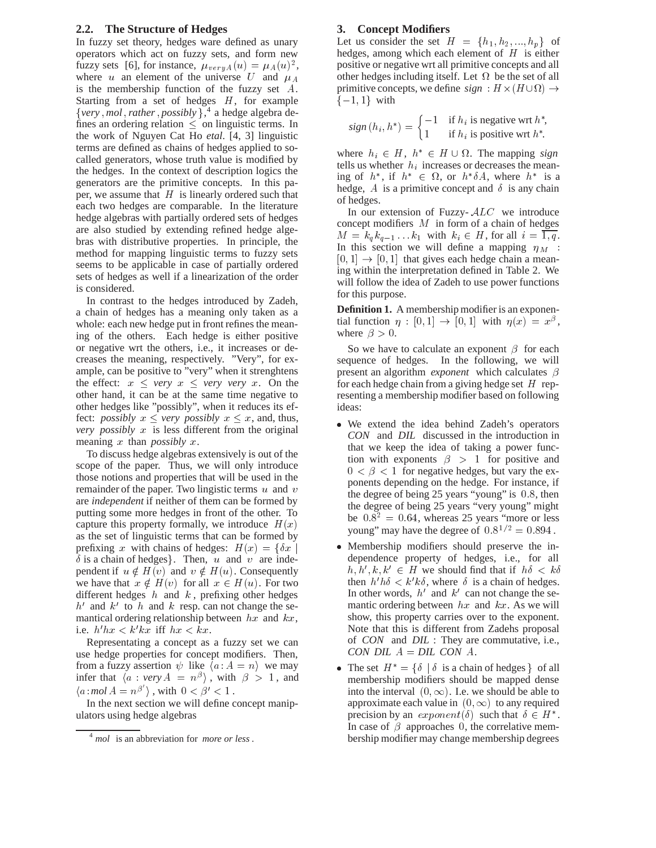### **2.2. The Structure of Hedges**

In fuzzy set theory, hedges ware defined as unary operators which act on fuzzy sets, and form new fuzzy sets [6], for instance,  $\mu_{veryA}(u) = \mu_A(u)^2$ , where u an element of the universe U and  $\mu_A$ is the membership function of the fuzzy set  $A$ . Starting from a set of hedges  $H$ , for example  $\{very, mol, rather, possibly\}$ ,<sup>4</sup> a hedge algebra defines an ordering relation  $\leq$  on linguistic terms. In the work of Nguyen Cat Ho *etal*. [4, 3] linguistic terms are defined as chains of hedges applied to socalled generators, whose truth value is modified by the hedges. In the context of description logics the generators are the primitive concepts. In this paper, we assume that  $H$  is linearly ordered such that each two hedges are comparable. In the literature hedge algebras with partially ordered sets of hedges are also studied by extending refined hedge algebras with distributive properties. In principle, the method for mapping linguistic terms to fuzzy sets seems to be applicable in case of partially ordered sets of hedges as well if a linearization of the order is considered.

In contrast to the hedges introduced by Zadeh, a chain of hedges has a meaning only taken as a whole: each new hedge put in front refines the meaning of the others. Each hedge is either positive or negative wrt the others, i.e., it increases or decreases the meaning, respectively. "Very", for example, can be positive to "very" when it strenghtens the effect:  $x \leq \text{very } x \leq \text{very } \text{very } x$ . On the other hand, it can be at the same time negative to other hedges like "possibly", when it reduces its effect: *possibly*  $x \leq \text{very possibly } x \leq x$ , and, thus, *very possibly*  $x$  is less different from the original meaning  $x$  than *possibly*  $x$ .

To discuss hedge algebras extensively is out of the scope of the paper. Thus, we will only introduce those notions and properties that will be used in the remainder of the paper. Two lingistic terms  $u$  and  $v$ are *independent* if neither of them can be formed by putting some more hedges in front of the other. To capture this property formally, we introduce  $H(x)$ as the set of linguistic terms that can be formed by prefixing x with chains of hedges:  $H(x) = \{\delta x \mid$  $\delta$  is a chain of hedges. Then, u and v are independent if  $u \notin H(v)$  and  $v \notin H(u)$ . Consequently we have that  $x \notin H(v)$  for all  $x \in H(u)$ . For two different hedges  $h$  and  $k$ , prefixing other hedges  $h'$  and  $k'$  to h and k resp. can not change the semantical ordering relationship between  $hx$  and  $kx$ , i.e.  $h/hx < k'kx$  iff  $hx < kx$ .

Representating a concept as a fuzzy set we can use hedge properties for concept modifiers. Then, from a fuzzy assertion  $\psi$  like  $\langle a : A = n \rangle$  we may infer that  $\langle a : \text{very } A = n^{\beta} \rangle$ , with  $\beta > 1$ , and  $\langle a \, | \, \textit{mol } A = n^{\beta'} \rangle$ , with  $0 < \beta' < 1$ .

In the next section we will define concept manipulators using hedge algebras

#### **3. Concept Modifiers**

primitive concepts, we define  $sign : H \times (H \cup \Omega) \rightarrow$ Let us consider the set  $H = \{h_1, h_2, ..., h_p\}$  of hedges, among which each element of  $H$  is either positive or negative wrt all primitive concepts and all other hedges including itself. Let  $\Omega$  be the set of all  $\{-1,1\}$  with

sign 
$$
(h_i, h^*)
$$
 =  $\begin{cases} -1 & \text{if } h_i \text{ is negative wrt } h^*, \\ 1 & \text{if } h_i \text{ is positive wrt } h^*. \end{cases}$ 

where  $h_i \in H$ ,  $h^* \in H \cup \Omega$ . The mapping *sign* tells us whether  $h_i$  increases or decreases the meaning of  $h^*$ , if  $h^* \in \Omega$ , or  $h^*\delta A$ , where  $h^*$  is a hedge, A is a primitive concept and  $\delta$  is any chain of hedges.

In our extension of Fuzzy- $ALC$  we introduce concept modifiers  $M$  in form of a chain of hedges  $M = k_q k_{q-1} \ldots k_1$  with  $k_i \in H$ , for all  $i = \overline{1, q}$ . In this section we will define a mapping  $\eta_M$ :  $[0, 1] \rightarrow [0, 1]$  that gives each hedge chain a meaning within the interpretation defined in Table 2. We will follow the idea of Zadeh to use power functions for this purpose.

**Definition 1.** A membership modifier is an exponential function  $\eta : [0,1] \to [0,1]$  with  $\eta(x) = x^{\beta}$ , where  $\beta > 0$ .

So we have to calculate an exponent  $\beta$  for each sequence of hedges. In the following, we will present an algorithm *exponent* which calculates  $\beta$ for each hedge chain from a giving hedge set  $H$  representing a membership modifier based on following ideas:

- We extend the idea behind Zadeh's operators *CON* and *DIL* discussed in the introduction in that we keep the idea of taking a power function with exponents  $\beta > 1$  for positive and  $0 < \beta < 1$  for negative hedges, but vary the exponents depending on the hedge. For instance, if the degree of being  $25$  years "young" is  $0.8$ , then the degree of being 25 years "very young" might be  $0.8^2 = 0.64$ , whereas 25 years "more or less young" may have the degree of  $0.8^{1/2} = 0.894$ .
- Membership modifiers should preserve the independence property of hedges, i.e., for all  $h, h', k, k' \in H$  we should find that if  $h\delta < k\delta$ then  $h'h\delta < k'k\delta$ , where  $\delta$  is a chain of hedges. In other words,  $h'$  and  $k'$  can not change the semantic ordering between  $hx$  and  $kx$ . As we will show, this property carries over to the exponent. Note that this is different from Zadehs proposal of *CON* and *DIL* : They are commutative, i.e., *CON DIL*  $A = DIL$  *CON A.*
- The set  $H^* = \{ \delta \mid \delta \text{ is a chain of hedges } \}$  of all membership modifiers should be mapped dense into the interval  $(0, \infty)$ . I.e. we should be able to approximate each value in  $(0, \infty)$  to any required precision by an  $\text{exponent}(\delta)$  such that  $\delta \in H^*$ . In case of  $\beta$  approaches 0, the correlative membership modifier may change membership degrees

<sup>4</sup> *mol* is an abbreviation for *more or less* .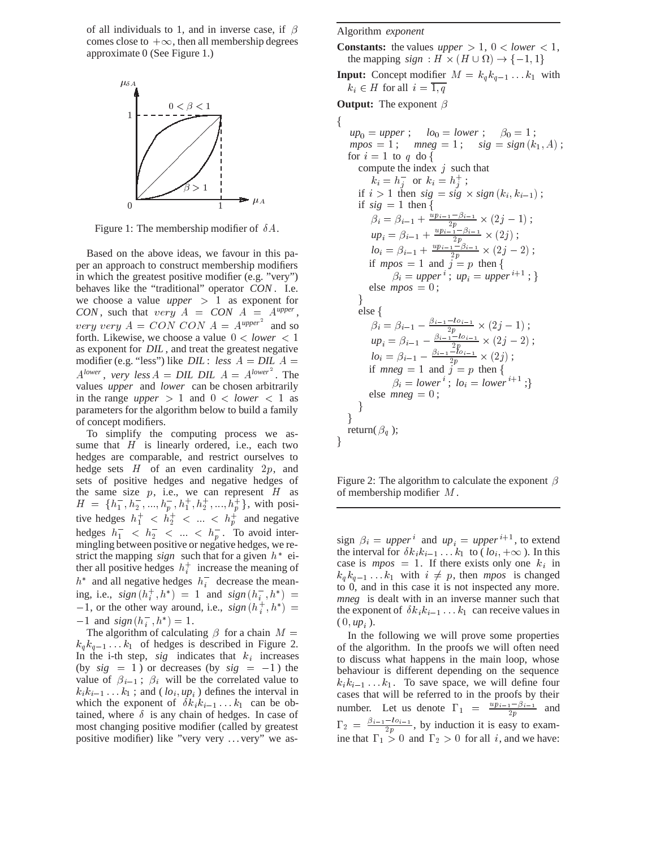of all individuals to 1, and in inverse case, if  $\beta$ comes close to  $+\infty$ , then all membership degrees approximate 0 (See Figure 1.)



Figure 1: The membership modifier of  $\delta A$ .

Based on the above ideas, we favour in this paper an approach to construct membership modifiers in which the greatest positive modifier (e.g. "very") behaves like the "traditional" operator *CON* . I.e. we choose a value *upper*  $> 1$  as exponent for *CON*, such that  $very A = CON A = A^{upper}$ , very very  $A = CON$   $CON$   $A = A^{upper^2}$  and so forth. Likewise, we choose a value  $0 < lower < 1$ as exponent for *DIL* , and treat the greatest negative modifier (e.g. "less") like *DIL* : *less*  $A = DIL$   $A =$  $A^{lower}$ , *very less*  $A = DIL$   $DIL$   $A = A^{lower}$ . The values *upper* and *lower* can be chosen arbitrarily in the range *upper*  $> 1$  and  $0 < lower < 1$  as parameters for the algorithm below to build a family of concept modifiers.

To simplify the computing process we assume that  $H$  is linearly ordered, i.e., each two hedges are comparable, and restrict ourselves to hedge sets  $H$  of an even cardinality  $2p$ , and sets of positive hedges and negative hedges of the same size  $p$ , i.e., we can represent  $H$  as  $H = \{h_1^-, h_2^-, ..., h_p^-, h_1^+, h_2^+, ..., h_p^+\}$ , with positive hedges  $h_1^+ < h_2^+ < \ldots < h_p^+$  and negative hedges  $h_1^- < h_2^- < \ldots < h_p^-$ . To avoid intermingling between positive or negative hedges, we restrict the mapping *sign* such that for a given  $h^*$  either all positive hedges  $h_i^+$  increase the meaning of  $h^*$  and all negative hedges  $h_i^-$  decrease the mean- $\lim_{h \to 0}$ , i.e.,  $sign(h_i^+, h^*) = 1$  and  $sign(h_i^-, h^*) = 1$  $-1$ , or the other way around, i.e.,  $sign(h_i^+, h^*) =$  $-1$  and  $sign(h_i^-, h^*) = 1$ .

The algorithm of calculating  $\beta$  for a chain  $M =$  $k_q k_{q-1} \ldots k_1$  of hedges is described in Figure 2. In the i-th step,  $sig$  indicates that  $k_i$  increases (by  $sig = 1$ ) or decreases (by  $sig = -1$ ) the value of  $\beta_{i-1}$ ;  $\beta_i$  will be the correlated value to  $k_i k_{i-1} \ldots k_1$ ; and  $\left(\frac{\ln n_i}{\ln n_i}\right)$  defines the interval in which the exponent of  $\delta k_i k_{i-1} \dots k_1$  can be obtained, where  $\delta$  is any chain of hedges. In case of most changing positive modifier (called by greatest positive modifier) like "very very ...very" we as-

Algorithm *exponent*

**Constants:** the values *upper*  $> 1$ ,  $0 < lower < 1$ , the mapping  $sign : H \times (H \cup \Omega) \rightarrow \{-1, 1\}$ 

**Input:** Concept modifier  $M = k_q k_{q-1} \dots k_1$  with  $k_i \in H$  for all  $i = \overline{1, q}$  $\mathbf{u}$  and  $\mathbf{u}$  and  $\mathbf{u}$  and  $\mathbf{u}$  and  $\mathbf{u}$  and  $\mathbf{u}$  and  $\mathbf{u}$  and  $\mathbf{u}$  and  $\mathbf{u}$  and  $\mathbf{u}$  and  $\mathbf{u}$  and  $\mathbf{u}$  and  $\mathbf{u}$  and  $\mathbf{u}$  and  $\mathbf{u}$  and  $\mathbf{u}$  and  $\mathbf{u}$  and

**Output:** The exponent  $\beta$ 

 $\blacksquare$  . The contract of the contract of the contract of the contract of the contract of the contract of the contract of the contract of the contract of the contract of the contract of the contract of the contract of the  $\mu p_0 = \mu p \nu$ ;  $\qquad_0 = \text{lower}; \quad \beta_0 = 1$ ;  $mpos = 1$ ;  $mneg = 1$ ;  $sig = sign(k_1, A)$ ; for  $i=1$  to q do { compute the index  $j$  such that  $k_i = h_j^-$  or  $k_i = h_j^+$ ; if  $i > 1$  then  $sig = sig \times sign(k_i, k_{i-1})$ ; if  $sig = 1$  then { then  $\{$  $\beta_i = \beta_{i-1} + \frac{u p_{i-1} - \beta_{i-1}}{2n} \times (2j-1);$  $up_i = \beta_{i-1} + \frac{up_{i-1} - \beta_{i-1}}{2n} \times (2j);$  $l o_i = \beta_{i-1} + \frac{u p_{i-1} - \beta_{i-1}}{2n} \times (2j-2);$ if  $mpos = 1$  and  $j = p$  then  $\{$  $\beta_i = upper^i$ ;  $up_i = upper^{i+1}$ ; } else  $mpos = 0$ ; and the contract of the contract of the contract of the contract of the contract of the contract of the contract of the contract of the contract of the contract of the contract of the contract of the contract of the contra else  $\beta_i = \beta_{i-1} - \frac{\beta_{i-1} - \iota \sigma_{i-1}}{2n} \times (2j-1)$ ;  $up_i = \beta_{i-1} - \frac{\beta_{i-1} - \iota o_{i-1}}{2n} \times (2j-2);$  $lo_i = \beta_{i-1} - \frac{\beta_{i-1} - \iota o_{i-1}}{2n} \times (2j);$ if *mneg*  $= 1$  and  $j = p$  then  $\{$  $\beta_i = lower^i$ ;  $lo_i = lower^{i+1}$ ; else  $mneg = 0$ ;  $\}$ and the contract of the contract of the contract of the contract of the contract of the contract of the contract of return( $\beta_q$ );  $\blacksquare$  . The contract of the contract of the contract of the contract of the contract of the contract of the contract of the contract of the contract of the contract of the contract of the contract of the contract of the

Figure 2: The algorithm to calculate the exponent  $\beta$ of membership modifier  $M$ .

 $\ell$ <sup>=</sup> *mneg* is dealt with in an inverse manner such that  $t =$  the exponent of  $\delta k_i k_{i-1} \dots k_1$  can receive values in sign  $\beta_i = upper^i$  and  $up_i = upper^{i+1}$ , to extend the interval for  $\delta k_i k_{i-1} \dots k_1$  to  $\left( l_0, +\infty \right)$ . In this case is  $mpos = 1$ . If there exists only one  $k_i$  in  $k_q k_{q-1} \ldots k_1$  with  $i \neq p$ , then *mpos* is changed to 0, and in this case it is not inspected any more.  $(0, up<sub>i</sub>)$ .

> In the following we will prove some properties of the algorithm. In the proofs we will often need to discuss what happens in the main loop, whose behaviour is different depending on the sequence  $k_i k_{i-1} \ldots k_1$ . To save space, we will define four cases that will be referred to in the proofs by their number. Let us denote  $\Gamma_1 = \frac{up_{i-1} - p_{i-1}}{2p}$  and  $\Gamma_2 = \frac{\beta i - 1 - l \delta i - 1}{2p}$ , by induction it is easy to examine that  $\Gamma_1 > 0$  and  $\Gamma_2 > 0$  for all *i*, and we have: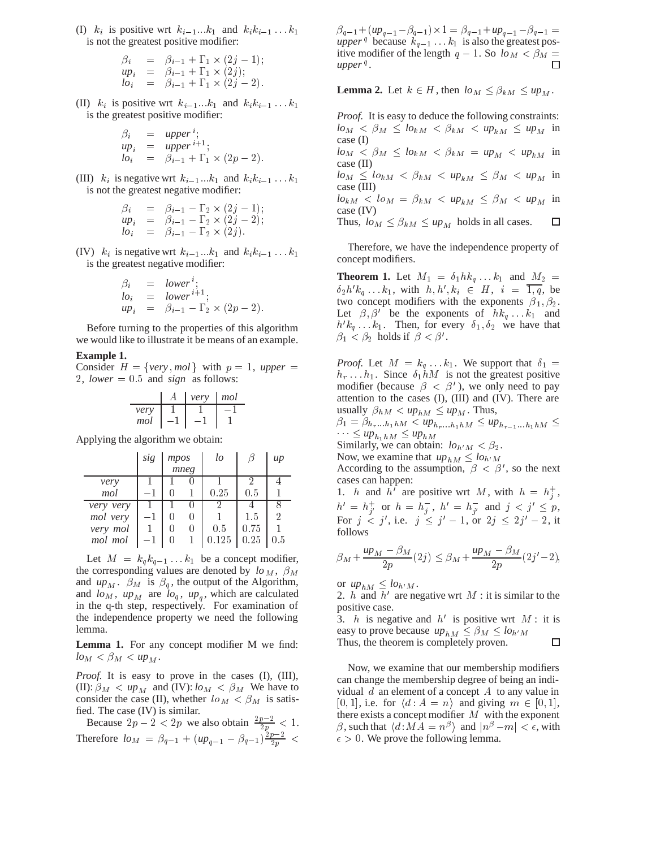(I)  $k_i$  is positive wrt  $k_{i-1}...k_1$  and  $k_ik_{i-1}...k_1$ is not the greatest positive modifier:

$$
\begin{array}{rcl}\n\beta_i & = & \beta_{i-1} + \Gamma_1 \times (2j-1); \\
up_i & = & \beta_{i-1} + \Gamma_1 \times (2j); \\
lo_i & = & \beta_{i-1} + \Gamma_1 \times (2j-2).\n\end{array}
$$

(II)  $k_i$  is positive wrt  $k_{i-1}...k_1$  and  $k_ik_{i-1}...k_1$ is the greatest positive modifier:

$$
\beta_i = upper^i;
$$
  
\n
$$
up_i = upper^{i+1};
$$
  
\n
$$
lo_i = \beta_{i-1} + \Gamma_1 \times (2p-2).
$$

(III)  $k_i$  is negative wrt  $k_{i-1}...k_1$  and  $k_ik_{i-1}...k_1$ is not the greatest negative modifier:

$$
\begin{array}{rcl}\n\beta_i & = & \beta_{i-1} - \Gamma_2 \times (2j-1); \\
\mu p_i & = & \beta_{i-1} - \Gamma_2 \times (2j-2); \\
\log i & = & \beta_{i-1} - \Gamma_2 \times (2j).\n\end{array}
$$

(IV)  $k_i$  is negative wrt  $k_{i-1}...k_1$  and  $k_ik_{i-1}...k_1$ is the greatest negative modifier:

$$
\beta_i = lower^i;
$$
  
\n
$$
lo_i = lower^{i+1};
$$
  
\n
$$
up_i = \beta_{i-1} - \Gamma_2 \times (2p-2).
$$

Before turning to the properties of this algorithm we would like to illustrate it be means of an example.

### **Example 1.**

Consider  $H = \{very, mol\}$  with  $p = 1$ , upper  $=$ 2, *lower*  $= 0.5$  and *sign* as follows:

 *very mol very mol* - --

Applying the algorithm we obtain:

|           | sig |              | lo    |      | $\mu$          |
|-----------|-----|--------------|-------|------|----------------|
|           |     | mpos<br>mneg |       |      |                |
| very      |     |              |       |      |                |
| mol       |     |              | 0.25  | 0.5  |                |
| very very |     |              | 2     |      |                |
| mol very  |     |              |       | 1.5  | $\overline{2}$ |
| very mol  |     |              | 0.5   | 0.75 |                |
| mol mol   |     |              | 0.125 | 0.25 | $0.5\,$        |

Let  $M = k_q k_{q-1} \dots k_1$  be a concept modifier, the corresponding values are denoted by  $l \circ M$ ,  $\beta_M$ and  $up_M$ .  $\beta_M$  is  $\beta_q$ , the output of the Algorithm, and  $l \circ_M$ ,  $u p_M$  are  $l \circ_q$ ,  $u p_q$ , which are calculated in the q-th step, respectively. For examination of the independence property we need the following lemma.

**Lemma 1.** For any concept modifier M we find:  $l \circ_M < \beta_M < \mu p_M$ .

*Proof.* It is easy to prove in the cases (I), (III), (II):  $\beta_M < up_M$  and (IV):  $\alpha_M < \beta_M$  We have to consider the case (II), whether  $l \circ_M < \beta_M$  is satisfied. The case (IV) is similar.

Because  $2p - 2 < 2p$  we also obtain  $\frac{2p-2}{2p} < 1$ . Therefore  $l \circ_M = \beta_{q-1} + (u p_{q-1} - \beta_{q-1}) \frac{2p-2}{2p} < \epsilon > 0$ 

 $\beta_{q-1} + (u p_{q-1} - \beta_{q-1}) \times 1 = \beta_{q-1} + u p_{q-1} - \beta_{q-1} =$ *upper*<sup>q</sup> because  $k_{q-1}$ ...  $k_1$  is also the greatest positive modifier of the length  $q-1$ . So  $l\omega_M < \beta_M =$ *upper* .

**Lemma 2.** Let  $k \in H$ , then  $l o_M \leq \beta_{kM} \leq u p_M$ .

*Proof.* It is easy to deduce the following constraints:  $l o_M < \beta_M \leq l o_{kM} < \beta_{kM} < \mu p_{kM} \leq \mu p_M$  in case (I)  $l o_M < \beta_M \leq l o_{kM} < \beta_{kM} = up_M < up_{kM}$  in case (II)  $l o_M \leq l o_{kM} < \beta_{kM} < u p_{kM} \leq \beta_M < u p_M$  in case (III)  $l_{\alpha_{kM}} < l_{\alpha_{M}} = \beta_{kM} < \mu_{\alpha_{kM}} \leq \beta_M < \mu_{\alpha_{M}}$  in case (IV) Thus,  $l \circ_M \leq \beta_{kM} \leq u \circ_M$  holds in all cases.  $\Box$ 

Therefore, we have the independence property of concept modifiers.

**Theorem 1.** Let  $M_1 = \delta_1 h k_0 \dots k_1$  and  $M_2 =$  $\delta_2 h' k_q \dots k_1$ , with  $h, h', k_i \in H$ ,  $i = \overline{1, q}$ , be two concept modifiers with the exponents  $\beta_1, \beta_2$ . Let  $\beta$ ,  $\beta'$  be the exponents of  $hk_q \dots k_1$  and  $h'k_q \dots k_1$ . Then, for every  $\delta_1, \delta_2$  we have that  $\beta_1 < \beta_2$  holds if  $\beta < \beta'$ .

*Proof.* Let  $M = k_q \dots k_1$ . We support that  $\delta_1 =$  $h_r \dots h_1$ . Since  $\delta_1 hM$  is not the greatest positive modifier (because  $\beta < \beta'$ ), we only need to pay attention to the cases (I), (III) and (IV). There are usually  $\beta_{hM} < up_{hM} \le up_M$ . Thus,

$$
\beta_1 = \beta_{h_r \dots h_1 h M} < up_{h_r \dots h_1 h M} \le up_{h_{r-1} \dots h_1 h M} \le
$$
\n
$$
\dots \le up_{h_1 h M} \le up_{h M}
$$

Similarly, we can obtain:  $lo_{h'M} < \beta_2$ .

Now, we examine that  $\mu p_{hM} \leq l \circ h \circ M$ 

According to the assumption,  $\beta < \beta'$ , so the next cases can happen:

1. *h* and *h'* are positive wrt M, with  $h = h_i^+$ ,  $h' = h_{j'}^+$  or  $h = h_j^-, h' = h_{j'}^-$  and  $j < j' \leq p$ , For  $j < j'$ , i.e.  $j \le j' - 1$ , or  $2j \le 2j' - 2$ , it follows

$$
\beta_M + \frac{up_M - \beta_M}{2p}(2j) \le \beta_M + \frac{up_M - \beta_M}{2p}(2j' - 2),
$$

or  $\mu p_{hM} \leq l \circ h M$ .

2. *h* and  $h'$  are negative wrt  $M$ : it is similar to the positive case.

3. *h* is negative and  $h'$  is positive wrt M : it is easy to prove because  $\mu p_{h,M} \leq \beta_M \leq l o_{h'M}$ Thus, the theorem is completely proven.  $\Box$ 

Now, we examine that our membership modifiers can change the membership degree of being an individual  $d$  an element of a concept  $A$  to any value in [0, 1], i.e. for  $\langle d : A = n \rangle$  and giving  $m \in [0, 1]$ , there exists a concept modifier  $M$  with the exponent  $\beta$ , such that  $\langle d : M A = n^{\beta} \rangle$  and  $|n^{\beta} - m| < \epsilon$ , with  $\epsilon > 0$ . We prove the following lemma.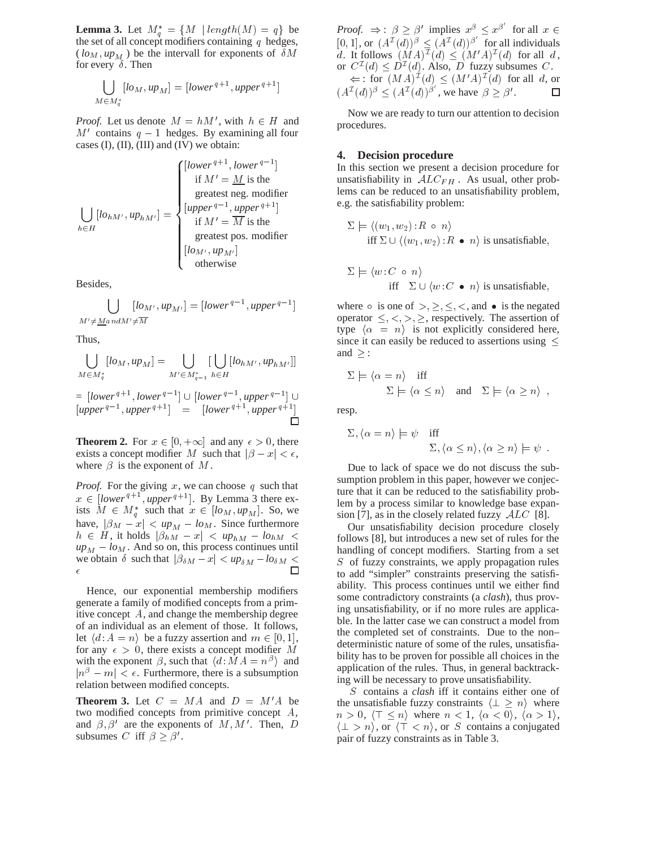**Lemma 3.** Let  $M_q^* = \{M \mid length(M) = q\}$  be the set of all concept modifiers containing  $q$  hedges,  $( \ln M, \mu p_M)$  be the intervall for exponents of  $\delta M$   $d$ . It foll for every  $\delta$ . Then

$$
\bigcup_{M \in M^*_\sigma} [l o_M, u p_M] = [lower^{q+1}, upper^{q+1}]
$$

 $\mathcal{A}$  . The contract of the contract of the contract of the contract of the contract of the contract of the contract of the contract of the contract of the contract of the contract of the contract of the contract of th

*Proof.* Let us denote  $M = hM'$ , with  $h \in H$  and  $M'$  contains  $q-1$  hedges. By examining all four cases (I), (II), (III) and (IV) we obtain:

$$
\bigcup_{h \in H} [lo_{hM'}, up_{hM'}] = \begin{cases} [lower^{q+1}, lower^{q-1}] \\ \text{if } M' = \underline{M} \text{ is the} \\ \text{greatest neg. modifier} \\ [upper^{q-1}, upper^{q+1}] \\ \text{if } M' = \overline{M} \text{ is the} \\ \text{greatest pos. modifier} \\ [lo_{M'}, up_{M'}] \\ \text{otherwise} \end{cases}
$$

Besides,

$$
\bigcup_{M' \neq \underline{M} \text{ and } M' \neq \overline{M}} [low] = [lower^{q-1}, upper^{q-1}]
$$

Thus,

$$
\bigcup_{M \in M_q^*} [l o_M, up_M] = \bigcup_{M' \in M_{q-1}^*} [\bigcup_{h \in H} [l o_{hM'}, up_{hM'}]]
$$
  
= [lower<sup>q+1</sup>, lower<sup>q-1</sup>] ∪ [lower<sup>q-1</sup>, upper<sup>q-1</sup>] ∪  
[upper<sup>q-1</sup>, upper<sup>q+1</sup>] = [lower<sup>q+1</sup>, upper<sup>q+1</sup>]  

**Theorem 2.** For  $x \in [0, +\infty]$  and any  $\epsilon > 0$ , there exists a concept modifier M such that  $|\beta - x| < \epsilon$ , where  $\beta$  is the exponent of M.

*Proof.* For the giving  $x$ , we can choose  $q$  such that  $x \in [lower^{q+1}, upper^{q+1}]$ . By Lemma 3 there exists  $M \in M_a^*$  such that  $x \in [l \circ_M, u \circ_M]$ . So, we have,  $|\beta_M - x| < up_M - lo_M$ . Since furthermore  $h \in H$ , it holds  $|\beta_{hM} - x| < up_{hM} - lo_{hM} <$  follow  $\mu p_M - \nu M$ . And so on, this process continues until we obtain  $\delta$  such that  $|\beta_{\delta M} - x| < \mu p_{\delta M} - \log M$  $\epsilon$ 

Hence, our exponential membership modifiers generate a family of modified concepts from a primitive concept  $A$ , and change the membership degree of an individual as an element of those. It follows, let  $\langle d \, : A = n \rangle$  be a fuzzy assertion and  $m \in [0, 1]$ , for any  $\epsilon > 0$ , there exists a concept modifier M with the exponent  $\beta$ , such that  $\langle d : MA = n^{\beta} \rangle$  and  $|n^{\beta} - m| < \epsilon$ . Furthermore, there is a subsumption relation between modified concepts.

**Theorem 3.** Let  $C = MA$  and  $D = M'A$  be two modified concepts from primitive concept  $A$ , and  $\beta$ ,  $\beta'$  are the exponents of M, M'. Then, D  $\langle \perp \rangle$ subsumes C iff  $\beta \ge \beta'$ .

*Proof.*  $\Rightarrow$  :  $\beta \ge \beta'$  implies  $x^{\beta} \le x^{\beta'}$  for all  $x \in$  $[0, 1]$ , or  $(A^{\mathcal{I}}(d))^{\beta} \leq (A^{\mathcal{I}}(d))^{\beta}$  for all individuals d. It follows  $(MA)^{\perp}(d) \leq (M'A)^{\perp}(d)$  for all d, or  $C^{\perp}(d) \le D^{\perp}(d)$ . Also, D fuzzy subsumes C.  $\Leftarrow$ : for  $(MA)^{\mathcal{I}}(d) \leq (M'A)^{\mathcal{I}}(d)$  for all d, or  $(A^{\mathcal{I}}(d))^{\beta} \leq (A^{\mathcal{I}}(d))^{\beta}$ , we have  $\beta \geq \beta'$ .

Now we are ready to turn our attention to decision procedures.

#### **4. Decision procedure**

In this section we present a decision procedure for unsatisfiability in  $ALC_{FH}$ . As usual, other problems can be reduced to an unsatisfiability problem, e.g. the satisfiability problem:

$$
\Sigma \models \langle (w_1, w_2) : R \circ n \rangle
$$
  
iff  $\Sigma \cup \langle (w_1, w_2) : R \bullet n \rangle$  is unsatisfiable,

$$
\Sigma \models \langle w : C \circ n \rangle
$$
  
iff 
$$
\Sigma \cup \langle w : C \bullet n \rangle
$$
 is unsatisfiable,

where  $\circ$  is one of  $\geq, \leq, \leq, \leq$  and  $\bullet$  is the negated operator  $\leq, <, >, \geq$ , respectively. The assertion of type  $\langle \alpha = n \rangle$  is not explicitly considered here, since it can easily be reduced to assertions using  $\leq$ and  $>$ :

$$
\Sigma \models \langle \alpha = n \rangle \quad \text{iff} \quad
$$
  

$$
\Sigma \models \langle \alpha \leq n \rangle \quad \text{and} \quad \Sigma \models \langle \alpha \geq n \rangle \quad ,
$$

resp.

$$
\Sigma, \langle \alpha = n \rangle \models \psi \quad \text{iff} \quad
$$

$$
\Sigma, \langle \alpha \le n \rangle, \langle \alpha \ge n \rangle \models \psi
$$

Due to lack of space we do not discuss the subsumption problem in this paper, however we conjecture that it can be reduced to the satisfiability problem by a process similar to knowledge base expansion [7], as in the closely related fuzzy  $ALC$  [8].

Our unsatisfiability decision procedure closely follows [8], but introduces a new set of rules for the handling of concept modifiers. Starting from a set  $S$  of fuzzy constraints, we apply propagation rules to add "simpler" constraints preserving the satisfiability. This process continues until we either find some contradictory constraints (a *clash*), thus proving unsatisfiability, or if no more rules are applicable. In the latter case we can construct a model from the completed set of constraints. Due to the non– deterministic nature of some of the rules, unsatisfiability has to be proven for possible all choices in the application of the rules. Thus, in general backtracking will be necessary to prove unsatisfiability.

S contains a *clash* iff it contains either one of the unsatisfiable fuzzy constraints  $\langle \perp \rangle$  where  $n > 0, \langle T \leq n \rangle$  where  $n < 1, \langle \alpha < 0 \rangle, \langle \alpha > 1 \rangle$ ,  $\langle \perp \rangle$  or  $\langle \perp \rangle$ , or S contains a conjugated pair of fuzzy constraints as in Table 3.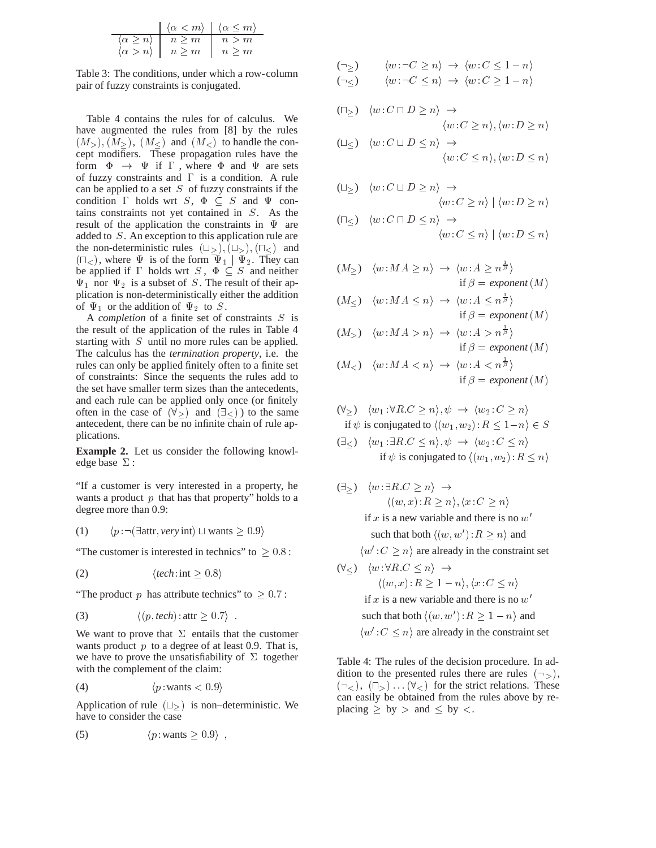| $\langle \alpha < m \rangle$ $\langle \alpha < m \rangle$ |            |  |
|-----------------------------------------------------------|------------|--|
| $\langle \alpha \geq n \rangle$   $n \geq m$   $n > m$    |            |  |
| $\langle \alpha > n \rangle \mid n \geq m$                | $n \geq m$ |  |

Table 3: The conditions, under which a row-column pair of fuzzy constraints is conjugated.

Table 4 contains the rules for of calculus. We have augmented the rules from [8] by the rules  $(M_>)$ ,  $(M_>)$ ,  $(M_<)$  and  $(M_<)$  to handle the concept modifiers. These propagation rules have the form  $\Phi \rightarrow \Psi$  if  $\Gamma$ , where  $\Phi$  and  $\Psi$  are sets of fuzzy constraints and  $\Gamma$  is a condition. A rule can be applied to a set  $S$  of fuzzy constraints if the condition  $\Gamma$  holds wrt  $S, \Phi \subset S$  and  $\Psi$  contains constraints not yet contained in  $S$ . As the result of the application the constraints in  $\Psi$  are added to  $S$ . An exception to this application rule are the non-deterministic rules  $(L_>, L), (L_>, \Pi_<)$  and  $(\sqcap_<)$ , where  $\Psi$  is of the form  $\Psi_1 \mid \Psi_2$ . They can be applied if  $\Gamma$  holds wrt  $S, \Phi \subseteq S$  and neither  $\Psi_1$  nor  $\Psi_2$  is a subset of S. The result of their application is non-deterministically either the addition of  $\Psi_1$  or the addition of  $\Psi_2$  to S.

A *completion* of a finite set of constraints  $S$  is the result of the application of the rules in Table 4 starting with  $S$  until no more rules can be applied. The calculus has the *termination property*, i.e. the rules can only be applied finitely often to a finite set of constraints: Since the sequents the rules add to the set have smaller term sizes than the antecedents, and each rule can be applied only once (or finitely often in the case of  $(\forall z)$  and  $(\exists z)$ ) to the same antecedent, there can be no infinite chain of rule applications.

**Example 2.** Let us consider the following knowledge base  $\Sigma$  :

"If a customer is very interested in a property, he wants a product  $p$  that has that property" holds to a degree more than 0.9:

(1) 
$$
\langle p : \neg (\exists \text{attr}, \text{very int}) \sqcup \text{wants} \geq 0.9 \rangle
$$

"The customer is interested in technics" to  $\geq 0.8$ :

$$
\langle tech: \text{int} \ge 0.8 \rangle
$$

"The product p has attribute technics" to  $\geq 0.7$ :

$$
(3) \qquad \langle (p,tech) : \text{attr} \ge 0.7 \rangle
$$

We want to prove that  $\Sigma$  entails that the customer wants product  $p$  to a degree of at least 0.9. That is, we have to prove the unsatisfiability of  $\Sigma$  together with the complement of the claim:

$$
\langle p: \text{wants} < 0.9 \rangle
$$

Application of rule  $(L>$ ) is non–deterministic. We have to consider the case

$$
(5) \t\t \langle p: \text{wants} \ge 0.9 \rangle ,
$$

$$
(\neg \ge) \qquad \langle w : \neg C \ge n \rangle \rightarrow \langle w : C \le 1 - n \rangle
$$
  

$$
(\neg \le) \qquad \langle w : \neg C \le n \rangle \rightarrow \langle w : C \ge 1 - n \rangle
$$

$$
(\sqcap_{\ge}) \quad \langle w:C \sqcap D \ge n \rangle \rightarrow
$$

$$
\langle w:C \ge n \rangle, \langle w:D \ge n \rangle
$$

$$
\begin{aligned} (\sqcup_{\le}) \quad & \langle w : C \sqcup D \le n \rangle \rightarrow \\ & \langle w : C \le n \rangle, \langle w : D \le n \rangle \end{aligned}
$$

$$
\begin{aligned}\n(\sqcup_{\ge}) \quad & \langle w:C \sqcup D \ge n \rangle \to \\
& \langle w:C \ge n \rangle \mid \langle w:D \ge n \rangle \\
(\sqcap_{\le}) \quad & \langle w:C \sqcap D \le n \rangle \to \\
& \langle w:C \le n \rangle \mid \langle w:D \le n \rangle\n\end{aligned}
$$

$$
(M_{\ge}) \quad \langle w \colon M A \ge n \rangle \rightarrow \langle w \colon A \ge n^{\frac{1}{\beta}} \rangle
$$
  
\nif  $\beta = exponent(M)$   
\n
$$
(M_{\le}) \quad \langle w \colon M A \le n \rangle \rightarrow \langle w \colon A \le n^{\frac{1}{\beta}} \rangle
$$
  
\nif  $\beta = exponent(M)$   
\n
$$
(M_{>}) \quad \langle w \colon M A > n \rangle \rightarrow \langle w \colon A > n^{\frac{1}{\beta}} \rangle
$$
  
\nif  $\beta = exponent(M)$ 

$$
(M_{<} ) \quad \langle w : M \land < n \rangle \rightarrow \langle w : A < n^{\frac{1}{\beta}} \rangle
$$
\n
$$
\text{if } \beta = \text{exponent}(M)
$$

$$
(\forall_{\ge}) \quad \langle w_1 : \forall R.C \ge n \rangle, \psi \rightarrow \langle w_2 : C \ge n \rangle
$$
  
if  $\psi$  is conjugated to  $\langle (w_1, w_2) : R \le 1 - n \rangle \in S$ 

 $(\exists \lt) \ \langle w_1 : \exists R.C \leq n \rangle, \psi \rightarrow \langle w_2 : C \leq n \rangle$ if  $\psi$  is conjugated to  $\langle (w_1, w_2) : R \leq n \rangle$ 

$$
(\exists \ge) \quad \langle w : \exists R.C \ge n \rangle \rightarrow
$$
  
 
$$
\langle (w, x) : R \ge n \rangle, \langle x : C \ge n \rangle
$$
  
if x is a new variable and there is no w'  
such that both  $\langle (w, w') : R \ge n \rangle$  and  
 $\langle w' : C \ge n \rangle$  are already in the constraint set

$$
(\forall \leq) \quad \langle w : \forall R.C \leq n \rangle \rightarrow
$$
  
\n
$$
\langle (w, x) : R \geq 1 - n \rangle, \langle x : C \leq n \rangle
$$
  
\nif x is a new variable and there is no w'  
\nsuch that both  $\langle (w, w') : R \geq 1 - n \rangle$  and  
\n $\langle w' : C \leq n \rangle$  are already in the constraint set

Table 4: The rules of the decision procedure. In addition to the presented rules there are rules  $(\neg_{>}),$  $(\neg \leq), (\sqcap_{\geq}) \dots (\forall \leq)$  for the strict relations. These can easily be obtained from the rules above by replacing  $\geq$  by  $>$  and  $\leq$  by  $\lt$ .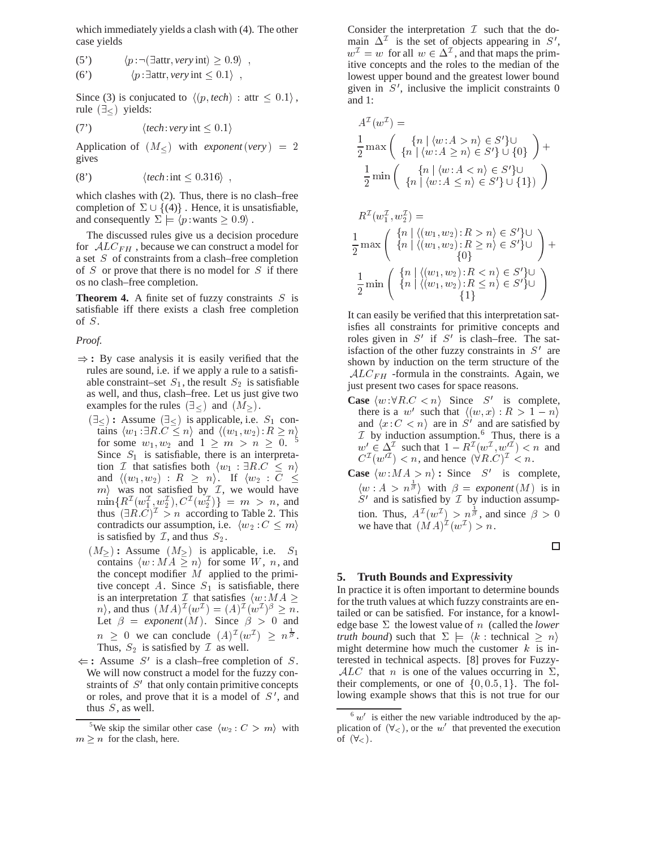which immediately yields a clash with (4). The other case yields

(5') 
$$
\langle p: \neg(\exists \text{attr}, \text{very} \text{int}) \ge 0.9 \rangle
$$
,

(6<sup>'</sup>)  $\langle p : \exists \text{attr}, \text{very int} \leq 0.1 \rangle$ ,

Since (3) is conjucated to  $\langle (p, tech) : attr \leq 0.1 \rangle$ , rule  $(\exists<)$  yields:

(7') 
$$
\langle
$$
 *tech: very* int  $\leq 0.1$ 

Application of  $(M_<)$  with *exponent* (very) = 2 gives

$$
(8') \t\langle tech: \text{int} \le 0.316 \rangle ,
$$

which clashes with (2). Thus, there is no clash–free completion of  $\Sigma \cup \{(4)\}\)$ . Hence, it is unsatisfiable, and consequently  $\Sigma \models \langle p : \text{wants} > 0.9 \rangle$ .

The discussed rules give us a decision procedure for  $ALC_{FH}$  , because we can construct a model for a set  $S$  of constraints from a clash–free completion of  $S$  or prove that there is no model for  $S$  if there os no clash–free completion.

**Theorem 4.** A finite set of fuzzy constraints  $S$  is satisfiable iff there exists a clash free completion of  $S$ .

*Proof.*

- $\Rightarrow$  **:** By case analysis it is easily verified that the rules are sound, i.e. if we apply a rule to a satisfiable constraint–set  $S_1$ , the result  $S_2$  is satisfiable as well, and thus, clash–free. Let us just give two examples for the rules  $(\exists<)$  and  $(M_{>})$ .
	- $(\exists <)$ : Assume  $(\exists <)$  is applicable, i.e. S<sub>1</sub> contains  $\langle w_1 : \exists R.C \leq n \rangle$  and  $\langle (w_1, w_2) : R \geq n \rangle$ for some  $w_1, w_2$  and  $1 \ge m > n \ge 0$ . <sup>5</sup> Since  $S_1$  is satisfiable, there is an interpretation  $\mathcal I$  that satisfies both  $\langle w_1 : \exists R.C \leq n \rangle$ and  $\langle (w_1, w_2) : R \geq n \rangle$ . If  $\langle w_2 : C \leq$  $m$  was not satisfied by  $I$ , we would have  $\min\{R^L(w_1^L, w_2^L), C^L(w_2^L)\} = m > n$ , and thus  $(\exists R.C)^{\mathcal{I}} > n$  according to Table 2. This contradicts our assumption, i.e.  $\langle w_2 : C \leq m \rangle$ is satisfied by  $I$ , and thus  $S_2$ .
	- $(M_{>})$ : Assume  $(M_{>})$  is applicable, i.e.  $S_1$ contains  $\langle w : MA \geq n \rangle$  for some W, n, and the concept modifier  $M$  applied to the primitive concept A. Since  $S_1$  is satisfiable, there is an interpretation  $\mathcal I$  that satisfies  $\langle w: M A \rangle$ *n*), and thus  $(MA)^{\perp}(w^{\perp}) = (A)^{\perp}(w^{\perp})^{\beta} \geq n$ . Let  $\beta = exponent(M)$ . Since  $\beta > 0$  and  $n \geq 0$  we can conclude  $(A)^{\mathcal{I}}(w^{\mathcal{I}}) \geq n^{\frac{2}{\beta}}$ . Thus,  $S_2$  is satisfied by  $\mathcal I$  as well.
- $\Leftarrow$ : Assume S' is a clash–free completion of S. We will now construct a model for the fuzzy constraints of  $S'$  that only contain primitive concepts or roles, and prove that it is a model of  $S'$ , and thus  $S$ , as well.

Consider the interpretation  $\mathcal I$  such that the domain  $\Delta^{\perp}$  is the set of objects appearing in S',  $w^{\perp} = w$  for all  $w \in \Delta^{\perp}$ , and that maps the primitive concepts and the roles to the median of the lowest upper bound and the greatest lower bound given in  $S'$ , inclusive the implicit constraints 0 and 1:

$$
A^{T}(w^{T}) =
$$
  
\n
$$
\frac{1}{2} \max \left( \begin{array}{c} \{n \mid \langle w : A \rangle n \rangle \in S' \} \cup \\ \{n \mid \langle w : A \rangle n \rangle \in S' \} \cup \{0\} \end{array} \right) +
$$
  
\n
$$
\frac{1}{2} \min \left( \begin{array}{c} \{n \mid \langle w : A \leq n \rangle \in S' \} \cup \\ \{n \mid \langle w : A \leq n \rangle \in S' \} \cup \{1\} \end{array} \right)
$$

$$
R^{T}(w_{1}^{T}, w_{2}^{T}) =
$$
  
\n
$$
\frac{1}{2} \max \begin{pmatrix} \{n \mid \langle (w_{1}, w_{2}) : R > n \rangle \in S' \} \cup \\ \{n \mid \langle (w_{1}, w_{2}) : R \ge n \rangle \in S' \} \cup \\ \{0 \} \end{pmatrix} +
$$
  
\n
$$
\frac{1}{2} \min \begin{pmatrix} \{n \mid \langle (w_{1}, w_{2}) : R < n \rangle \in S' \} \cup \\ \{n \mid \langle (w_{1}, w_{2}) : R \le n \rangle \in S' \} \cup \\ \{1 \} \end{pmatrix}
$$

It can easily be verified that this interpretation satisfies all constraints for primitive concepts and roles given in  $S'$  if  $S'$  is clash–free. The satisfaction of the other fuzzy constraints in  $S'$  are shown by induction on the term structure of the  $ALC_{FH}$  -formula in the constraints. Again, we just present two cases for space reasons.

- **Case**  $\langle w : \forall R.C < n \rangle$  Since S' is complete, there is a w' such that  $\langle (w, x) : R > 1 - n \rangle$ and  $\langle x : C < n \rangle$  are in S' and are satisfied by  $I$  by induction assumption.<sup>6</sup> Thus, there is a  $w' \in \Delta^{\mathcal{I}}$  such that  $1 - R^{\mathcal{I}}(w^{\mathcal{I}}, w'^{\mathcal{I}}) < n$  and  $C^{\perp}(w'^{\perp}) < n$ , and hence  $(\forall R.C)^{\perp} < n$ .
- **Case**  $\langle w : MA \rangle$  : Since S' is complete,  $\langle w : A > n^{\frac{1}{\beta}} \rangle$  with  $\beta = exponent(M)$  is in  $S'$  and is satisfied by  $\mathcal I$  by induction assumption. Thus,  $A^{\perp}(w^{\perp}) > n^{\frac{1}{\beta}}$ , and since  $\beta > 0$ we have that  $(MA)^{\mathcal{I}}(w^{\mathcal{I}}) > n$ .

 $\Box$ 

### **5. Truth Bounds and Expressivity**

In practice it is often important to determine bounds for the truth values at which fuzzy constraints are entailed or can be satisfied. For instance, for a knowledge base  $\Sigma$  the lowest value of  $n$  (called the *lower truth bound*) such that  $\Sigma = \langle k : \text{technical } \geq n \rangle$ might determine how much the customer  $k$  is interested in technical aspects. [8] proves for Fuzzy- ALC that *n* is one of the values occurring in  $\Sigma$ , their complements, or one of  $\{0, 0.5, 1\}$ . The following example shows that this is not true for our

<sup>&</sup>lt;sup>5</sup>We skip the similar other case  $\langle w_2 : C > m \rangle$  with  $m \geq n$  for the clash, here.

 $6 w'$  is either the new variable indtroduced by the application of  $(\forall \langle \rangle)$ , or the w' that prevented the execution of  $(\forall_<)$ .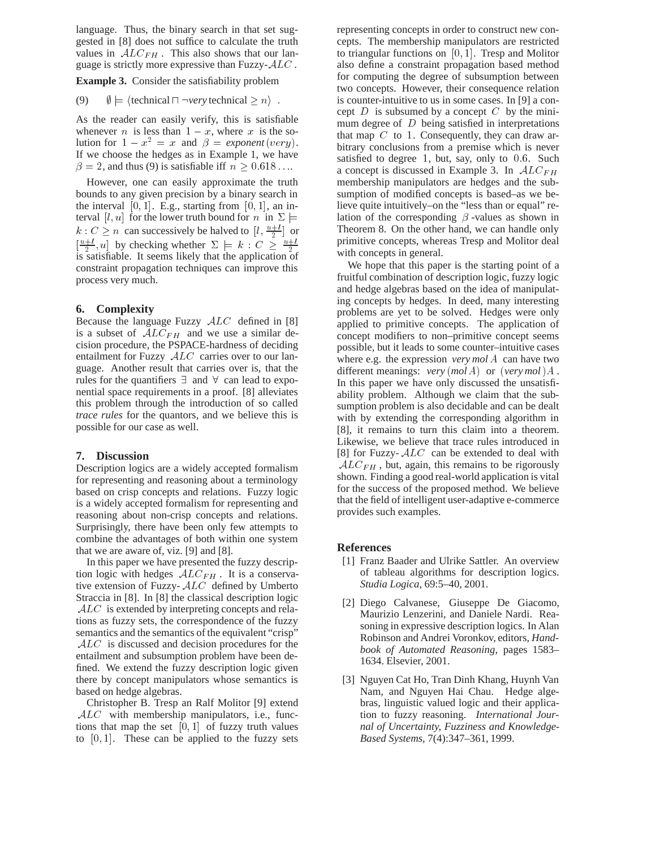language. Thus, the binary search in that set suggested in [8] does not suffice to calculate the truth values in  $ALC_{FH}$ . This also shows that our language is strictly more expressive than Fuzzy- $ALC$ . als

**Example 3.** Consider the satisfiability problem

(9)  $\emptyset \models \{\text{technical } \sqcap \neg \text{very technical } \geq n\}$ .

As the reader can easily verify, this is satisfiable whenever *n* is less than  $1 - x$ , where *x* is the solution for  $1 - x^2 = x$  and  $\beta = exponent(very)$ . If we choose the hedges as in Example 1, we have  $\beta = 2$ , and thus (9) is satisfiable iff  $n \geq 0.618...$ 

However, one can easily approximate the truth bounds to any given precision by a binary search in the interval  $[0, 1]$ . E.g., starting from  $[0, 1]$ , an interval  $[l, u]$  for the lower truth bound for  $n$  in  $\Sigma \models$  lation  $k: C \geq n$  can successively be halved to  $\left[ l, \frac{u+l}{2} \right]$  or  $\left[\frac{u+l}{2}, u\right]$  by checking whether  $\Sigma \models k : C \ge \frac{u+l}{2}$  is satisfiable. It seems likely that the application of constraint propagation techniques can improve this process very much.

### **6. Complexity**

Because the language Fuzzy  $ALC$  defined in [8] is a subset of  $ALC_{FH}$  and we use a similar decision procedure, the PSPACE-hardness of deciding entailment for Fuzzy  $ALC$  carries over to our language. Another result that carries over is, that the rules for the quantifiers  $\exists$  and  $\forall$  can lead to exponential space requirements in a proof. [8] alleviates this problem through the introduction of so called *trace rules* for the quantors, and we believe this is possible for our case as well.

#### **7. Discussion**

Description logics are a widely accepted formalism for representing and reasoning about a terminology based on crisp concepts and relations. Fuzzy logic is a widely accepted formalism for representing and reasoning about non-crisp concepts and relations. Surprisingly, there have been only few attempts to combine the advantages of both within one system that we are aware of, viz. [9] and [8].

In this paper we have presented the fuzzy description logic with hedges  $ALC_{FH}$ . It is a conservative extension of Fuzzy-  $ALC$  defined by Umberto Straccia in [8]. In [8] the classical description logic  $ALC$  is extended by interpreting concepts and relations as fuzzy sets, the correspondence of the fuzzy semantics and the semantics of the equivalent "crisp"  $ALC$  is discussed and decision procedures for the entailment and subsumption problem have been defined. We extend the fuzzy description logic given there by concept manipulators whose semantics is based on hedge algebras.

Christopher B. Tresp an Ralf Molitor [9] extend  $ALC$  with membership manipulators, i.e., functions that map the set  $[0, 1]$  of fuzzy truth values to  $[0, 1]$ . These can be applied to the fuzzy sets

representing concepts in order to construct new concepts. The membership manipulators are restricted to triangular functions on  $[0,1]$ . Tresp and Molitor also define a constraint propagation based method for computing the degree of subsumption between two concepts. However, their consequence relation is counter-intuitive to us in some cases. In [9] a concept  $D$  is subsumed by a concept  $C$  by the minimum degree of  $D$  being satisfied in interpretations that map  $C$  to 1. Consequently, they can draw arbitrary conclusions from a premise which is never satisfied to degree  $1$ , but, say, only to  $0.6$ . Such a concept is discussed in Example 3. In  $ALC_{FH}$ membership manipulators are hedges and the subsumption of modified concepts is based–as we believe quite intuitively–on the "less than or equal" relation of the corresponding  $\beta$ -values as shown in Theorem 8. On the other hand, we can handle only primitive concepts, whereas Tresp and Molitor deal with concepts in general.

We hope that this paper is the starting point of a fruitful combination of description logic, fuzzy logic and hedge algebras based on the idea of manipulating concepts by hedges. In deed, many interesting problems are yet to be solved. Hedges were only applied to primitive concepts. The application of concept modifiers to non–primitive concept seems possible, but it leads to some counter–intuitive cases where e.g. the expression *very mol A* can have two different meanings:  $very (mol A)$  or  $(very mol)A$ . In this paper we have only discussed the unsatisfiability problem. Although we claim that the subsumption problem is also decidable and can be dealt with by extending the corresponding algorithm in [8], it remains to turn this claim into a theorem. Likewise, we believe that trace rules introduced in [8] for Fuzzy-  $ALC$  can be extended to deal with  $ALC_{FH}$ , but, again, this remains to be rigorously shown. Finding a good real-world application is vital for the success of the proposed method. We believe that the field of intelligent user-adaptive e-commerce provides such examples.

### **References**

- [1] Franz Baader and Ulrike Sattler. An overview of tableau algorithms for description logics. *Studia Logica*, 69:5–40, 2001.
- [2] Diego Calvanese, Giuseppe De Giacomo, Maurizio Lenzerini, and Daniele Nardi. Reasoning in expressive description logics. In Alan Robinson and Andrei Voronkov, editors, *Handbook of Automated Reasoning*, pages 1583– 1634. Elsevier, 2001.
- [3] Nguyen Cat Ho, Tran Dinh Khang, Huynh Van Nam, and Nguyen Hai Chau. Hedge algebras, linguistic valued logic and their application to fuzzy reasoning. *International Journal of Uncertainty, Fuzziness and Knowledge-Based Systems*, 7(4):347–361, 1999.